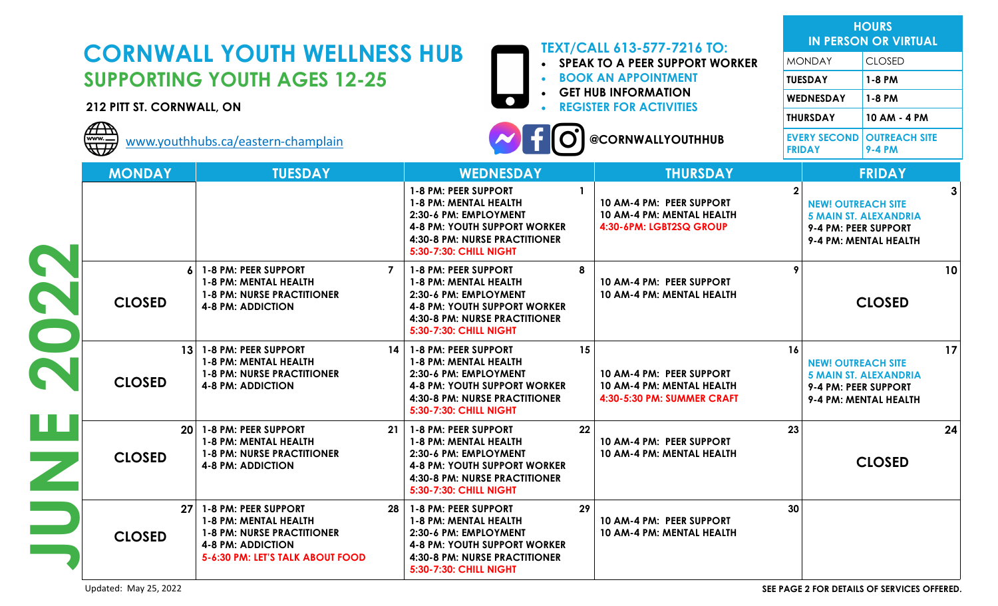|                                                                                                        | <b>TEXT/CALL 613-577-7216 TO:</b><br><b>CORNWALL YOUTH WELLNESS HUB</b>                                                                                                      |                                                                                                                                                                                             |                                                                                                  |                                                                                                                        | <b>HOURS</b><br><b>IN PERSON OR VIRTUAL</b>                                                                |  |
|--------------------------------------------------------------------------------------------------------|------------------------------------------------------------------------------------------------------------------------------------------------------------------------------|---------------------------------------------------------------------------------------------------------------------------------------------------------------------------------------------|--------------------------------------------------------------------------------------------------|------------------------------------------------------------------------------------------------------------------------|------------------------------------------------------------------------------------------------------------|--|
|                                                                                                        |                                                                                                                                                                              |                                                                                                                                                                                             | <b>SPEAK TO A PEER SUPPORT WORKER</b>                                                            | <b>MONDAY</b>                                                                                                          | <b>CLOSED</b>                                                                                              |  |
| <b>SUPPORTING YOUTH AGES 12-25</b>                                                                     |                                                                                                                                                                              |                                                                                                                                                                                             | <b>BOOK AN APPOINTMENT</b>                                                                       | <b>TUESDAY</b>                                                                                                         | 1-8 PM                                                                                                     |  |
| <b>GET HUB INFORMATION</b><br>$\bullet$<br><b>REGISTER FOR ACTIVITIES</b><br>212 PITT ST. CORNWALL, ON |                                                                                                                                                                              |                                                                                                                                                                                             |                                                                                                  | WEDNESDAY                                                                                                              | 1-8 PM                                                                                                     |  |
|                                                                                                        |                                                                                                                                                                              |                                                                                                                                                                                             |                                                                                                  |                                                                                                                        | 10 AM - 4 PM                                                                                               |  |
| $\overline{A\cdot P}$<br>WI                                                                            | www.youthhubs.ca/eastern-champlain                                                                                                                                           |                                                                                                                                                                                             | @CORNWALLYOUTHHUB                                                                                | <b>FRIDAY</b>                                                                                                          | <b>EVERY SECOND OUTREACH SITE</b><br><b>9-4 PM</b>                                                         |  |
| <b>MONDAY</b>                                                                                          | <b>TUESDAY</b>                                                                                                                                                               | <b>WEDNESDAY</b>                                                                                                                                                                            | <b>THURSDAY</b>                                                                                  |                                                                                                                        | <b>FRIDAY</b>                                                                                              |  |
|                                                                                                        |                                                                                                                                                                              | 1-8 PM: PEER SUPPORT<br>1-8 PM: MENTAL HEALTH<br>2:30-6 PM: EMPLOYMENT<br><b>4-8 PM: YOUTH SUPPORT WORKER</b><br>4:30-8 PM: NURSE PRACTITIONER<br><b>5:30-7:30: CHILL NIGHT</b>             | $\mathbf{1}$<br>10 AM-4 PM: PEER SUPPORT<br>10 AM-4 PM: MENTAL HEALTH<br>4:30-6PM: LGBT2SQ GROUP |                                                                                                                        | <b>NEW! OUTREACH SITE</b><br><b>5 MAIN ST. ALEXANDRIA</b><br>9-4 PM: PEER SUPPORT<br>9-4 PM: MENTAL HEALTH |  |
| <b>CLOSED</b>                                                                                          | 1-8 PM: PEER SUPPORT<br>1-8 PM: MENTAL HEALTH<br><b>1-8 PM: NURSE PRACTITIONER</b><br><b>4-8 PM: ADDICTION</b>                                                               | 1-8 PM: PEER SUPPORT<br>7<br>1-8 PM: MENTAL HEALTH<br>2:30-6 PM: EMPLOYMENT<br><b>4-8 PM: YOUTH SUPPORT WORKER</b><br>4:30-8 PM: NURSE PRACTITIONER<br>5:30-7:30: CHILL NIGHT               | 8<br>10 AM-4 PM: PEER SUPPORT<br>10 AM-4 PM: MENTAL HEALTH                                       | 10<br><b>CLOSED</b>                                                                                                    |                                                                                                            |  |
| <b>CLOSED</b>                                                                                          | 1-8 PM: PEER SUPPORT<br>13 <sup>1</sup><br>1-8 PM: MENTAL HEALTH<br><b>1-8 PM: NURSE PRACTITIONER</b><br><b>4-8 PM: ADDICTION</b>                                            | 1-8 PM: PEER SUPPORT<br>14 <sup>1</sup><br>1-8 PM: MENTAL HEALTH<br>2:30-6 PM: EMPLOYMENT<br><b>4-8 PM: YOUTH SUPPORT WORKER</b><br>4:30-8 PM: NURSE PRACTITIONER<br>5:30-7:30: CHILL NIGHT | 15<br>10 AM-4 PM: PEER SUPPORT<br>10 AM-4 PM: MENTAL HEALTH<br>4:30-5:30 PM: SUMMER CRAFT        | 16<br>17<br><b>NEW! OUTREACH SITE</b><br><b>5 MAIN ST. ALEXANDRIA</b><br>9-4 PM: PEER SUPPORT<br>9-4 PM: MENTAL HEALTH |                                                                                                            |  |
| <b>CLOSED</b>                                                                                          | 1-8 PM: PEER SUPPORT<br>20<br>1-8 PM: MENTAL HEALTH<br><b>1-8 PM: NURSE PRACTITIONER</b><br><b>4-8 PM: ADDICTION</b>                                                         | 1-8 PM: PEER SUPPORT<br>21<br>1-8 PM: MENTAL HEALTH<br>2:30-6 PM: EMPLOYMENT<br>4-8 PM: YOUTH SUPPORT WORKER<br>4:30-8 PM: NURSE PRACTITIONER<br><b>5:30-7:30: CHILL NIGHT</b>              | 22<br>10 AM-4 PM: PEER SUPPORT<br>10 AM-4 PM: MENTAL HEALTH                                      | 23                                                                                                                     | 24<br><b>CLOSED</b>                                                                                        |  |
| <b>CLOSED</b>                                                                                          | <b>1-8 PM: PEER SUPPORT</b><br>27 <sup>1</sup><br>1-8 PM: MENTAL HEALTH<br><b>1-8 PM: NURSE PRACTITIONER</b><br><b>4-8 PM: ADDICTION</b><br>5-6:30 PM: LET'S TALK ABOUT FOOD | 28   1-8 PM: PEER SUPPORT<br>1-8 PM: MENTAL HEALTH<br>2:30-6 PM: EMPLOYMENT<br><b>4-8 PM: YOUTH SUPPORT WORKER</b><br>4:30-8 PM: NURSE PRACTITIONER<br>5:30-7:30: CHILL NIGHT               | 29<br>10 AM-4 PM: PEER SUPPORT<br>10 AM-4 PM: MENTAL HEALTH                                      | 30 <sub>o</sub>                                                                                                        |                                                                                                            |  |

Updated: May 25, 2022 **SEE PAGE 2 FOR DETAILS OF SERVICES OFFERED.**